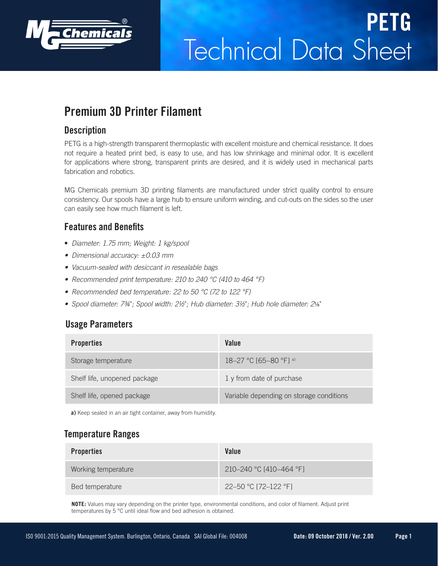

# Technical Data Sheet **PETG**

# **Premium 3D Printer Filament**

#### **Description**

PETG is a high-strength transparent thermoplastic with excellent moisture and chemical resistance. It does not require a heated print bed, is easy to use, and has low shrinkage and minimal odor. It is excellent for applications where strong, transparent prints are desired, and it is widely used in mechanical parts fabrication and robotics.

MG Chemicals premium 3D printing filaments are manufactured under strict quality control to ensure consistency. Our spools have a large hub to ensure uniform winding, and cut-outs on the sides so the user can easily see how much filament is left.

### **Features and Benefits**

- *Diameter: 1.75 mm; Weight: 1 kg/spool*
- *• Dimensional accuracy: ±0.03 mm*
- *• Vacuum-sealed with desiccant in resealable bags*
- *• Recommended print temperature: 210 to 240 °C (410 to 464 °F)*
- *• Recommended bed temperature: 22 to 50 °C (72 to 122 °F)*
- *• Spool diameter: 7¾*"*; Spool width: 2½*"*; Hub diameter: 3½*"*; Hub hole diameter: 2*⅛"

#### **Usage Parameters**

| <b>Properties</b>            | Value                                    |
|------------------------------|------------------------------------------|
| Storage temperature          | 18-27 °C [65-80 °F] a)                   |
| Shelf life, unopened package | 1 y from date of purchase                |
| Shelf life, opened package   | Variable depending on storage conditions |

**a)** Keep sealed in an air tight container, away from humidity.

#### **Temperature Ranges**

| <b>Properties</b>   | Value                   |
|---------------------|-------------------------|
| Working temperature | 210-240 °C [410-464 °F] |
| Bed temperature     | 22–50 °C [72–122 °F]    |

**NOTE:** Values may vary depending on the printer type, environmental conditions, and color of filament. Adjust print temperatures by 5 °C until ideal flow and bed adhesion is obtained.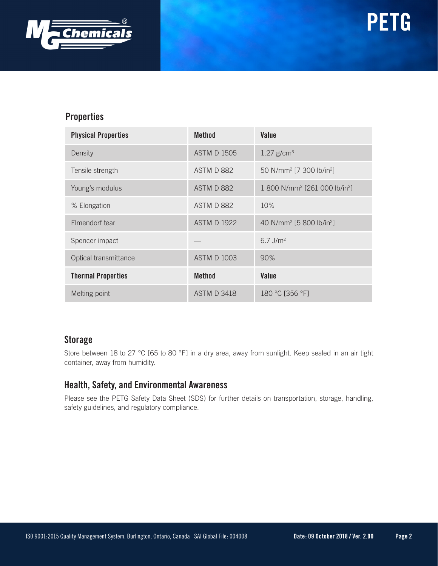

#### **Properties**

| <b>Physical Properties</b> | <b>Method</b>      | Value                                                 |
|----------------------------|--------------------|-------------------------------------------------------|
| Density                    | <b>ASTM D 1505</b> | $1.27$ g/cm <sup>3</sup>                              |
| Tensile strength           | ASTM D 882         | 50 N/mm <sup>2</sup> [7 300 lb/in <sup>2</sup> ]      |
| Young's modulus            | ASTM D 882         | 1 800 N/mm <sup>2</sup> [261 000 lb/in <sup>2</sup> ] |
| % Elongation               | ASTM D 882         | 10%                                                   |
| Elmendorf tear             | <b>ASTM D 1922</b> | 40 N/mm <sup>2</sup> [5 800 lb/in <sup>2</sup> ]      |
| Spencer impact             |                    | $6.7$ J/m <sup>2</sup>                                |
| Optical transmittance      | <b>ASTM D 1003</b> | 90%                                                   |
| <b>Thermal Properties</b>  | <b>Method</b>      | Value                                                 |
| Melting point              | <b>ASTM D 3418</b> | 180 °C [356 °F]                                       |

#### **Storage**

Store between 18 to 27 °C [65 to 80 °F] in a dry area, away from sunlight. Keep sealed in an air tight container, away from humidity.

#### **Health, Safety, and Environmental Awareness**

Please see the PETG Safety Data Sheet (SDS) for further details on transportation, storage, handling, safety guidelines, and regulatory compliance.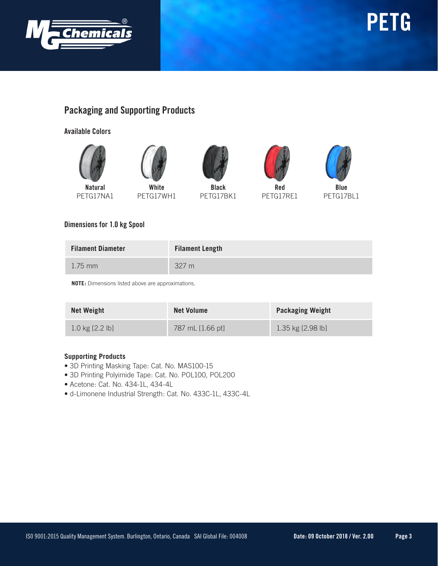

## **Packaging and Supporting Products**

**Available Colors**







PETG17NA1

PETG17WH1

**Black** PETG17BK1





**Blue** PETG17BL1

#### **Dimensions for 1.0 kg Spool**

| <b>Filament Diameter</b> | <b>Filament Length</b> |
|--------------------------|------------------------|
| $1.75$ mm                | 327 m                  |

**NOTE:** Dimensions listed above are approximations.

| <b>Net Weight</b>         | <b>Net Volume</b> | <b>Packaging Weight</b> |
|---------------------------|-------------------|-------------------------|
| $1.0 \text{ kg}$ [2.2 lb] | 787 mL [1.66 pt]  | $1.35$ kg $[2.98$ lb]   |

#### **Supporting Products**

- 3D Printing Masking Tape: Cat. No. MAS100-15
- 3D Printing Polyimide Tape: Cat. No. POL100, POL200
- Acetone: Cat. No. 434-1L, 434-4L
- d-Limonene Industrial Strength: Cat. No. 433C-1L, 433C-4L